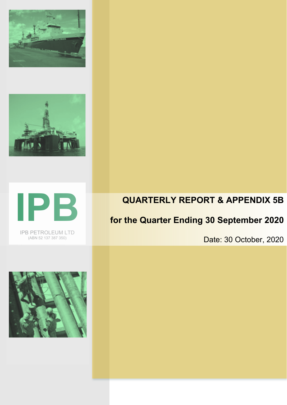





IPB PETROLEUM LTD (ABN 52 137 387 350)

## **QUARTERLY REPORT & APPENDIX 5B**

# **for the Quarter Ending 30 September 2020**

Date: 30 October, 2020

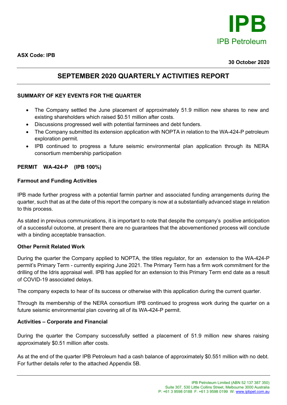

**ASX Code: IPB**

#### **30 October 2020**

### **SEPTEMBER 2020 QUARTERLY ACTIVITIES REPORT**

#### **SUMMARY OF KEY EVENTS FOR THE QUARTER**

- The Company settled the June placement of approximately 51.9 million new shares to new and existing shareholders which raised \$0.51 million after costs.
- Discussions progressed well with potential farminees and debt funders.
- The Company submitted its extension application with NOPTA in relation to the WA-424-P petroleum exploration permit.
- IPB continued to progress a future seismic environmental plan application through its NERA consortium membership participation

#### **PERMIT WA-424-P (IPB 100%)**

#### **Farmout and Funding Activities**

IPB made further progress with a potential farmin partner and associated funding arrangements during the quarter, such that as at the date of this report the company is now at a substantially advanced stage in relation to this process.

As stated in previous communications, it is important to note that despite the company's positive anticipation of a successful outcome, at present there are no guarantees that the abovementioned process will conclude with a binding acceptable transaction.

#### **Other Permit Related Work**

During the quarter the Company applied to NOPTA, the titles regulator, for an extension to the WA-424-P permit's Primary Term - currently expiring June 2021. The Primary Term has a firm work commitment for the drilling of the Idris appraisal well. IPB has applied for an extension to this Primary Term end date as a result of COVID-19 associated delays.

The company expects to hear of its success or otherwise with this application during the current quarter.

Through its membership of the NERA consortium IPB continued to progress work during the quarter on a future seismic environmental plan covering all of its WA-424-P permit.

#### **Activities – Corporate and Financial**

During the quarter the Company successfully settled a placement of 51.9 million new shares raising approximately \$0.51 million after costs.

As at the end of the quarter IPB Petroleum had a cash balance of approximately \$0.551 million with no debt. For further details refer to the attached Appendix 5B.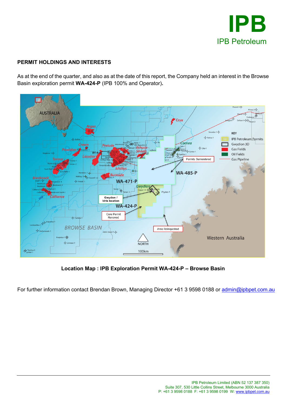

### **PERMIT HOLDINGS AND INTERESTS**

As at the end of the quarter, and also as at the date of this report, the Company held an interest in the Browse Basin exploration permit **WA-424-P** (IPB 100% and Operator)**.**



**Location Map : IPB Exploration Permit WA-424-P – Browse Basin**

For further information contact Brendan Brown, Managing Director +61 3 9598 0188 or [admin@ipbpet.com.au](mailto:admin@ipbpet.com.au)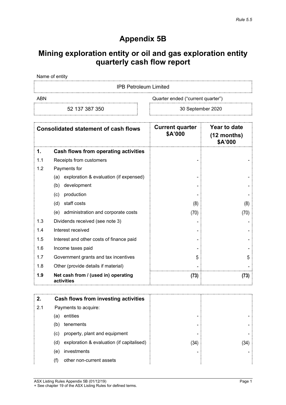## **Appendix 5B**

## **Mining exploration entity or oil and gas exploration entity quarterly cash flow report**

Name of entity

IPB Petroleum Limited

ABN ABN Cuarter ended ("current quarter")

52 137 387 350 30 September 2020

| <b>Consolidated statement of cash flows</b> |                                                   | <b>Current quarter</b><br>\$A'000 | Year to date<br>$(12$ months)<br>\$A'000 |
|---------------------------------------------|---------------------------------------------------|-----------------------------------|------------------------------------------|
| 1.                                          | <b>Cash flows from operating activities</b>       |                                   |                                          |
| 1.1                                         | Receipts from customers                           |                                   |                                          |
| 1.2                                         | Payments for                                      |                                   |                                          |
|                                             | exploration & evaluation (if expensed)<br>(a)     |                                   |                                          |
|                                             | development<br>(b)                                |                                   |                                          |
|                                             | production<br>(c)                                 |                                   |                                          |
|                                             | staff costs<br>(d)                                | (8)                               | (8)                                      |
|                                             | administration and corporate costs<br>(e)         | (70)                              | (70)                                     |
| 1.3                                         | Dividends received (see note 3)                   |                                   |                                          |
| 1.4                                         | Interest received                                 |                                   |                                          |
| 1.5                                         | Interest and other costs of finance paid          |                                   |                                          |
| 1.6                                         | Income taxes paid                                 |                                   |                                          |
| 1.7                                         | Government grants and tax incentives              | 5                                 | 5                                        |
| 1.8                                         | Other (provide details if material)               |                                   |                                          |
| 1.9                                         | Net cash from / (used in) operating<br>activities | (73)                              | (73)                                     |

|     |     | Cash flows from investing activities      |      |    |
|-----|-----|-------------------------------------------|------|----|
| 2.1 |     | Payments to acquire:                      |      |    |
|     | (a  | entities                                  | -    |    |
|     | (b) | tenements                                 | -    |    |
|     | (C) | property, plant and equipment             | -    |    |
|     | (d) | exploration & evaluation (if capitalised) | (34) | 34 |
|     | (e) | investments                               | -    |    |
|     | (f) | other non-current assets                  |      |    |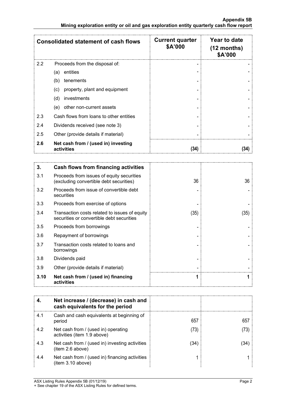|     | <b>Consolidated statement of cash flows</b>       | <b>Current quarter</b><br>\$A'000 | Year to date<br>$(12$ months)<br>\$A'000 |
|-----|---------------------------------------------------|-----------------------------------|------------------------------------------|
| 2.2 | Proceeds from the disposal of:                    |                                   |                                          |
|     | entities<br>(a)                                   |                                   |                                          |
|     | tenements<br>(b)                                  |                                   |                                          |
|     | property, plant and equipment<br>(c)              |                                   |                                          |
|     | investments<br>(d)                                |                                   |                                          |
|     | other non-current assets<br>(e)                   |                                   |                                          |
| 2.3 | Cash flows from loans to other entities           |                                   |                                          |
| 2.4 | Dividends received (see note 3)                   |                                   |                                          |
| 2.5 | Other (provide details if material)               |                                   |                                          |
| 2.6 | Net cash from / (used in) investing<br>activities | (34)                              |                                          |

| 3.   | <b>Cash flows from financing activities</b>                                                |      |      |
|------|--------------------------------------------------------------------------------------------|------|------|
| 3.1  | Proceeds from issues of equity securities<br>(excluding convertible debt securities)       | 36   | 36   |
| 3.2  | Proceeds from issue of convertible debt<br>securities                                      |      |      |
| 3.3  | Proceeds from exercise of options                                                          |      |      |
| 3.4  | Transaction costs related to issues of equity<br>securities or convertible debt securities | (35) | (35) |
| 3.5  | Proceeds from borrowings                                                                   |      |      |
| 3.6  | Repayment of borrowings                                                                    |      |      |
| 3.7  | Transaction costs related to loans and<br>borrowings                                       |      |      |
| 3.8  | Dividends paid                                                                             |      |      |
| 3.9  | Other (provide details if material)                                                        |      |      |
| 3.10 | Net cash from / (used in) financing<br>activities                                          |      |      |

|     | Net increase / (decrease) in cash and<br>cash equivalents for the period |      |     |
|-----|--------------------------------------------------------------------------|------|-----|
| 4.1 | Cash and cash equivalents at beginning of<br>period                      | 657  | 657 |
| 4.2 | Net cash from / (used in) operating<br>activities (item 1.9 above)       | 73   |     |
| 4.3 | Net cash from / (used in) investing activities<br>item 2.6 above)        | (34) |     |
| 4.4 | Net cash from / (used in) financing activities<br>(item 3.10 above)      |      |     |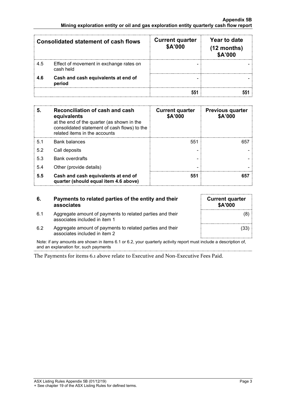| <b>Consolidated statement of cash flows</b> |                                                      | <b>Current quarter</b><br>\$A'000 | Year to date<br>$(12$ months)<br>\$A'000 |
|---------------------------------------------|------------------------------------------------------|-----------------------------------|------------------------------------------|
| 4.5                                         | Effect of movement in exchange rates on<br>cash held |                                   |                                          |
| 4.6                                         | Cash and cash equivalents at end of<br>period        |                                   |                                          |
|                                             |                                                      |                                   |                                          |

| 5.             | Reconciliation of cash and cash<br>equivalents<br>at the end of the quarter (as shown in the<br>consolidated statement of cash flows) to the<br>related items in the accounts | <b>Current quarter</b><br>\$A'000 | <b>Previous quarter</b><br>\$A'000 |
|----------------|-------------------------------------------------------------------------------------------------------------------------------------------------------------------------------|-----------------------------------|------------------------------------|
| 5 <sub>1</sub> | <b>Bank balances</b>                                                                                                                                                          | 551                               |                                    |
| 5.2            | Call deposits                                                                                                                                                                 |                                   |                                    |
| 5.3            | <b>Bank overdrafts</b>                                                                                                                                                        |                                   |                                    |
| 5.4            | Other (provide details)                                                                                                                                                       |                                   |                                    |
| 5.5            | Cash and cash equivalents at end of<br>quarter (should equal item 4.6 above)                                                                                                  | 551                               |                                    |

| 6.  | Payments to related parties of the entity and their<br>associates                          | <b>Current quarter</b><br>\$A'000 |
|-----|--------------------------------------------------------------------------------------------|-----------------------------------|
| 6.1 | Aggregate amount of payments to related parties and their<br>associates included in item 1 | (8)                               |
| 6.2 | Aggregate amount of payments to related parties and their<br>associates included in item 2 | (33)                              |

Note: if any amounts are shown in items 6.1 or 6.2, your quarterly activity report must include a description of, and an explanation for, such payments

The Payments for items 6.1 above relate to Executive and Non-Executive Fees Paid.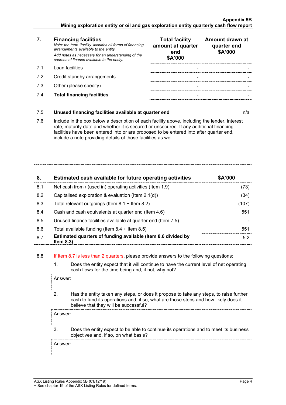- **7. Financing facilities** *Note: the term "facility' includes all forms of financing arrangements available to the entity. Add notes as necessary for an understanding of the sources of finance available to the entity.*
- 
- 7.2 Credit standby arrangements
- 7.3 Other (please specify)
- 7.4 **Total financing facilities - -**

|     | <b>Financing facilities</b><br>Note: the term "facility' includes all forms of financing<br>arrangements available to the entity.<br>Add notes as necessary for an understanding of the<br>sources of finance available to the entity. | <b>Total facility</b><br>amount at quarter<br>end<br>\$A'000 | Amount drawn at<br>quarter end<br>\$A'000 |
|-----|----------------------------------------------------------------------------------------------------------------------------------------------------------------------------------------------------------------------------------------|--------------------------------------------------------------|-------------------------------------------|
| 71  | Loan facilities                                                                                                                                                                                                                        |                                                              |                                           |
| 7.2 | Credit standby arrangements                                                                                                                                                                                                            |                                                              |                                           |
| 7.3 | Other (please specify)                                                                                                                                                                                                                 |                                                              |                                           |
| 7.4 | <b>Total financing facilities</b>                                                                                                                                                                                                      |                                                              |                                           |

#### 7.5 **Unused financing facilities available at quarter end** n/a

7.6 Include in the box below a description of each facility above, including the lender, interest rate, maturity date and whether it is secured or unsecured. If any additional financing facilities have been entered into or are proposed to be entered into after quarter end, include a note providing details of those facilities as well.

| 8.  | Estimated cash available for future operating activities                     | \$A'000 |
|-----|------------------------------------------------------------------------------|---------|
| 8.1 | Net cash from / (used in) operating activities (Item 1.9)                    | (73)    |
| 8.2 | Capitalised exploration & evaluation (Item $2.1(d)$ )                        | (34)    |
| 8.3 | Total relevant outgoings (Item $8.1 +$ Item $8.2$ )                          | (107)   |
| 8.4 | Cash and cash equivalents at quarter end (Item 4.6)                          | 551     |
| 8.5 | Unused finance facilities available at quarter end (Item 7.5)                |         |
| 8.6 | Total available funding (Item $8.4 +$ Item $8.5$ )                           | 551     |
| 8.7 | Estimated quarters of funding available (Item 8.6 divided by<br>Item $8.3$ ) | 5.2     |

#### 8.8 If Item 8.7 is less than 2 quarters, please provide answers to the following questions:

1. Does the entity expect that it will continue to have the current level of net operating cash flows for the time being and, if not, why not?

Answer:

2. Has the entity taken any steps, or does it propose to take any steps, to raise further cash to fund its operations and, if so, what are those steps and how likely does it believe that they will be successful?

Answer:

3. Does the entity expect to be able to continue its operations and to meet its business objectives and, if so, on what basis?

Answer: